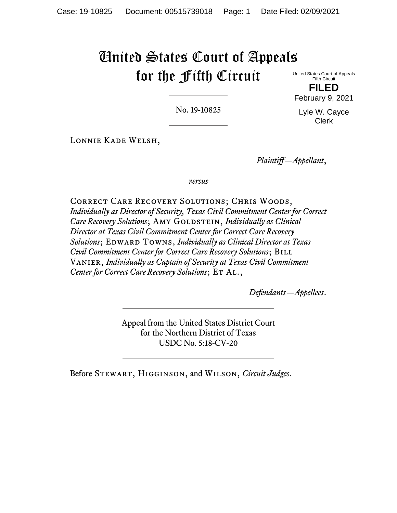# United States Court of Appeals for the Fifth Circuit

United States Court of Appeals Fifth Circuit **FILED** February 9, 2021

Lyle W. Cayce Clerk

No. 19-10825

Lonnie Kade Welsh,

*Plaintiff—Appellant*,

*versus*

Correct Care Recovery Solutions; Chris Woods, *Individually as Director of Security, Texas Civil Commitment Center for Correct Care Recovery Solutions*; AMY GOLDSTEIN, *Individually as Clinical Director at Texas Civil Commitment Center for Correct Care Recovery*   $Solutions$ ; **EDWARD TOWNS**, *Individually as Clinical Director at Texas Civil Commitment Center for Correct Care Recovery Solutions*; BILL Vanier, *Individually as Captain of Security at Texas Civil Commitment Center for Correct Care Recovery Solutions*; ET AL.,

*Defendants—Appellees*.

Appeal from the United States District Court for the Northern District of Texas USDC No. 5:18-CV-20

Before Stewart, Higginson, and Wilson, *Circuit Judges*.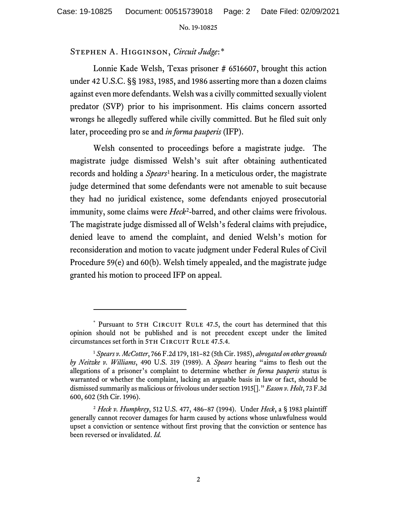## Stephen A. Higginson, *Circuit Judge*:[\\*](#page-1-0)

Lonnie Kade Welsh, Texas prisoner # 6516607, brought this action under 42 U.S.C. §§ 1983, 1985, and 1986 asserting more than a dozen claims against even more defendants. Welsh was a civilly committed sexually violent predator (SVP) prior to his imprisonment. His claims concern assorted wrongs he allegedly suffered while civilly committed. But he filed suit only later, proceeding pro se and *in forma pauperis* (IFP).

Welsh consented to proceedings before a magistrate judge. The magistrate judge dismissed Welsh's suit after obtaining authenticated records and holding a *Spears*[1](#page-1-1) hearing. In a meticulous order, the magistrate judge determined that some defendants were not amenable to suit because they had no juridical existence, some defendants enjoyed prosecutorial immunity, some claims were *Heck*<sup>2</sup>-barred, and other claims were frivolous. The magistrate judge dismissed all of Welsh's federal claims with prejudice, denied leave to amend the complaint, and denied Welsh's motion for reconsideration and motion to vacate judgment under Federal Rules of Civil Procedure 59(e) and 60(b). Welsh timely appealed, and the magistrate judge granted his motion to proceed IFP on appeal.

<span id="page-1-0"></span><sup>\*</sup> Pursuant to 5TH CIRCUIT RULE 47.5, the court has determined that this opinion should not be published and is not precedent except under the limited circumstances set forth in 5TH CIRCUIT RULE 47.5.4.

<span id="page-1-1"></span><sup>1</sup> *Spears v. McCotter*, 766 F.2d 179, 181–82 (5th Cir. 1985), *abrogated on other grounds by Neitzke v. Williams*, 490 U.S. 319 (1989). A *Spears* hearing "aims to flesh out the allegations of a prisoner's complaint to determine whether *in forma pauperis* status is warranted or whether the complaint, lacking an arguable basis in law or fact, should be dismissed summarily as malicious or frivolous under section 1915[]." *Eason v. Holt*, 73 F.3d 600, 602 (5th Cir. 1996).

<span id="page-1-2"></span><sup>2</sup> *Heck v. Humphrey*, 512 U.S. 477, 486–87 (1994). Under *Heck*, a § 1983 plaintiff generally cannot recover damages for harm caused by actions whose unlawfulness would upset a conviction or sentence without first proving that the conviction or sentence has been reversed or invalidated. *Id.*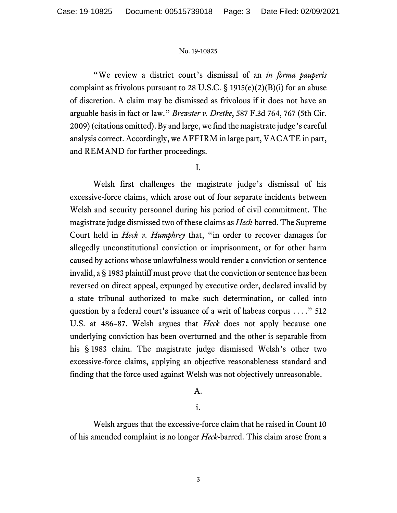"We review a district court's dismissal of an *in forma pauperis* complaint as frivolous pursuant to 28 U.S.C.  $\S$  1915(e)(2)(B)(i) for an abuse of discretion. A claim may be dismissed as frivolous if it does not have an arguable basis in fact or law." *Brewster v. Dretke*, 587 F.3d 764, 767 (5th Cir. 2009)(citations omitted). By and large, we find the magistrate judge's careful analysis correct. Accordingly, we AFFIRM in large part, VACATE in part, and REMAND for further proceedings.

# I.

Welsh first challenges the magistrate judge's dismissal of his excessive-force claims, which arose out of four separate incidents between Welsh and security personnel during his period of civil commitment. The magistrate judge dismissed two of these claims as *Heck*-barred. The Supreme Court held in *Heck v. Humphrey* that, "in order to recover damages for allegedly unconstitutional conviction or imprisonment, or for other harm caused by actions whose unlawfulness would render a conviction or sentence invalid, a § 1983 plaintiff must prove that the conviction or sentence has been reversed on direct appeal, expunged by executive order, declared invalid by a state tribunal authorized to make such determination, or called into question by a federal court's issuance of a writ of habeas corpus . . . ." 512 U.S. at 486–87. Welsh argues that *Heck* does not apply because one underlying conviction has been overturned and the other is separable from his § 1983 claim. The magistrate judge dismissed Welsh's other two excessive-force claims, applying an objective reasonableness standard and finding that the force used against Welsh was not objectively unreasonable.

## A.

i.

Welsh argues that the excessive-force claim that he raised in Count 10 of his amended complaint is no longer *Heck*-barred. This claim arose from a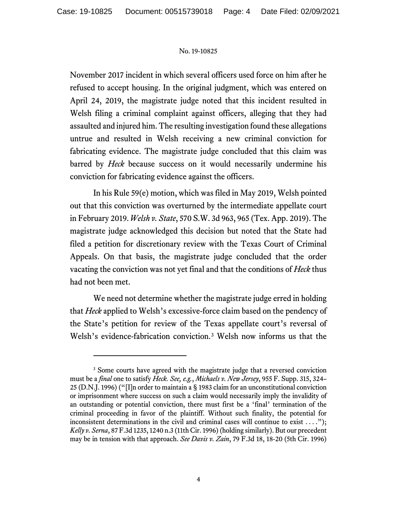November 2017 incident in which several officers used force on him after he refused to accept housing. In the original judgment, which was entered on April 24, 2019, the magistrate judge noted that this incident resulted in Welsh filing a criminal complaint against officers, alleging that they had assaulted and injured him. The resulting investigation found these allegations untrue and resulted in Welsh receiving a new criminal conviction for fabricating evidence. The magistrate judge concluded that this claim was barred by *Heck* because success on it would necessarily undermine his conviction for fabricating evidence against the officers.

In his Rule 59(e) motion, which was filed in May 2019, Welsh pointed out that this conviction was overturned by the intermediate appellate court in February 2019.*Welsh v. State*, 570 S.W. 3d 963, 965 (Tex. App. 2019). The magistrate judge acknowledged this decision but noted that the State had filed a petition for discretionary review with the Texas Court of Criminal Appeals. On that basis, the magistrate judge concluded that the order vacating the conviction was not yet final and that the conditions of *Heck* thus had not been met.

We need not determine whether the magistrate judge erred in holding that *Heck* applied to Welsh's excessive-force claim based on the pendency of the State's petition for review of the Texas appellate court's reversal of Welsh's evidence-fabrication conviction.<sup>[3](#page-3-0)</sup> Welsh now informs us that the

<span id="page-3-0"></span><sup>&</sup>lt;sup>3</sup> Some courts have agreed with the magistrate judge that a reversed conviction must be a *final* one to satisfy *Heck. See, e.g.*, *Michaels v. New Jersey*, 955 F. Supp. 315, 324– 25 (D.N.J. 1996) ("[I]n order to maintain a § 1983 claim for an unconstitutional conviction or imprisonment where success on such a claim would necessarily imply the invalidity of an outstanding or potential conviction, there must first be a 'final' termination of the criminal proceeding in favor of the plaintiff. Without such finality, the potential for inconsistent determinations in the civil and criminal cases will continue to exist  $\dots$ ."); *Kelly v. Serna*, 87 F.3d 1235, 1240 n.3 (11th Cir. 1996) (holding similarly). But our precedent may be in tension with that approach. *See Davis v. Zain*, 79 F.3d 18, 18-20 (5th Cir. 1996)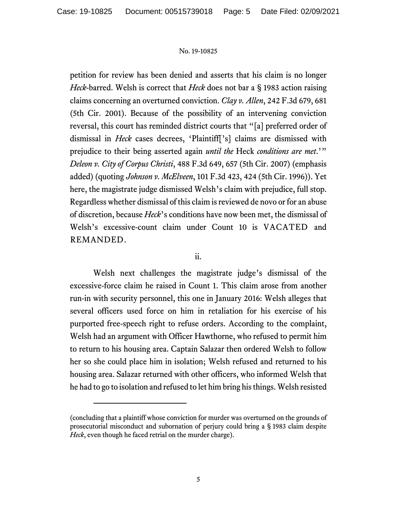petition for review has been denied and asserts that his claim is no longer *Heck*-barred. Welsh is correct that *Heck* does not bar a § 1983 action raising claims concerning an overturned conviction. *Clay v. Allen*, 242 F.3d 679, 681 (5th Cir. 2001). Because of the possibility of an intervening conviction reversal, this court has reminded district courts that "[a] preferred order of dismissal in *Heck* cases decrees, 'Plaintiff['s] claims are dismissed with prejudice to their being asserted again *until the* Heck *conditions are met*.'" *Deleon v. City of Corpus Christi*, 488 F.3d 649, 657 (5th Cir. 2007) (emphasis added) (quoting *Johnson v. McElveen*, 101 F.3d 423, 424 (5th Cir. 1996)). Yet here, the magistrate judge dismissed Welsh's claim with prejudice, full stop. Regardless whether dismissal of this claim is reviewed de novo or for an abuse of discretion, because *Heck*'s conditions have now been met, the dismissal of Welsh's excessive-count claim under Count 10 is VACATED and REMANDED.

ii.

Welsh next challenges the magistrate judge's dismissal of the excessive-force claim he raised in Count 1. This claim arose from another run-in with security personnel, this one in January 2016: Welsh alleges that several officers used force on him in retaliation for his exercise of his purported free-speech right to refuse orders. According to the complaint, Welsh had an argument with Officer Hawthorne, who refused to permit him to return to his housing area. Captain Salazar then ordered Welsh to follow her so she could place him in isolation; Welsh refused and returned to his housing area. Salazar returned with other officers, who informed Welsh that he had to go to isolation and refused to let him bring his things. Welsh resisted

<sup>(</sup>concluding that a plaintiff whose conviction for murder was overturned on the grounds of prosecutorial misconduct and subornation of perjury could bring a § 1983 claim despite *Heck*, even though he faced retrial on the murder charge).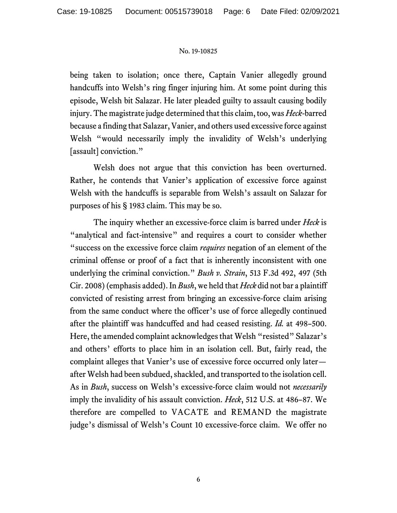being taken to isolation; once there, Captain Vanier allegedly ground handcuffs into Welsh's ring finger injuring him. At some point during this episode, Welsh bit Salazar. He later pleaded guilty to assault causing bodily injury. The magistrate judge determined that this claim, too,was *Heck*-barred because a finding that Salazar, Vanier, and others used excessive force against Welsh "would necessarily imply the invalidity of Welsh's underlying [assault] conviction."

Welsh does not argue that this conviction has been overturned. Rather, he contends that Vanier's application of excessive force against Welsh with the handcuffs is separable from Welsh's assault on Salazar for purposes of his § 1983 claim. This may be so.

The inquiry whether an excessive-force claim is barred under *Heck* is "analytical and fact-intensive" and requires a court to consider whether "success on the excessive force claim *requires* negation of an element of the criminal offense or proof of a fact that is inherently inconsistent with one underlying the criminal conviction." *Bush v. Strain*, 513 F.3d 492, 497 (5th Cir. 2008)(emphasis added). In *Bush*, we held that *Heck* did not bar a plaintiff convicted of resisting arrest from bringing an excessive-force claim arising from the same conduct where the officer's use of force allegedly continued after the plaintiff was handcuffed and had ceased resisting. *Id.* at 498–500. Here, the amended complaint acknowledges that Welsh "resisted" Salazar's and others' efforts to place him in an isolation cell. But, fairly read, the complaint alleges that Vanier's use of excessive force occurred only later after Welsh had been subdued, shackled, and transported to the isolation cell. As in *Bush*, success on Welsh's excessive-force claim would not *necessarily* imply the invalidity of his assault conviction. *Heck*, 512 U.S. at 486–87. We therefore are compelled to VACATE and REMAND the magistrate judge's dismissal of Welsh's Count 10 excessive-force claim. We offer no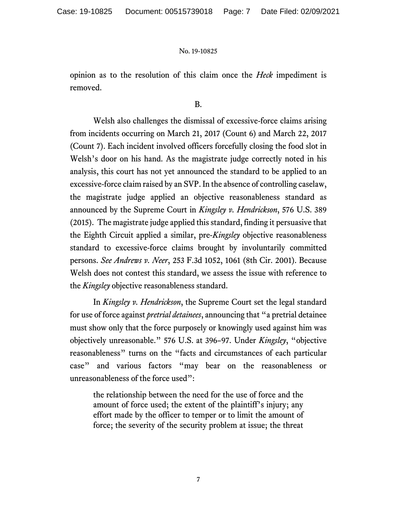opinion as to the resolution of this claim once the *Heck* impediment is removed.

## B.

Welsh also challenges the dismissal of excessive-force claims arising from incidents occurring on March 21, 2017 (Count 6) and March 22, 2017 (Count 7). Each incident involved officers forcefully closing the food slot in Welsh's door on his hand. As the magistrate judge correctly noted in his analysis, this court has not yet announced the standard to be applied to an excessive-force claim raised by an SVP. In the absence of controlling caselaw, the magistrate judge applied an objective reasonableness standard as announced by the Supreme Court in *Kingsley v. Hendrickson*, 576 U.S. 389 (2015). The magistrate judge applied this standard, finding it persuasive that the Eighth Circuit applied a similar, pre-*Kingsley* objective reasonableness standard to excessive-force claims brought by involuntarily committed persons. *See Andrews v. Neer*, 253 F.3d 1052, 1061 (8th Cir. 2001). Because Welsh does not contest this standard, we assess the issue with reference to the *Kingsley* objective reasonableness standard.

In *Kingsley v. Hendrickson*, the Supreme Court set the legal standard for use of force against *pretrial detainees*, announcing that "a pretrial detainee must show only that the force purposely or knowingly used against him was objectively unreasonable." 576 U.S. at 396–97. Under *Kingsley*, "objective reasonableness" turns on the "facts and circumstances of each particular case" and various factors "may bear on the reasonableness or unreasonableness of the force used":

the relationship between the need for the use of force and the amount of force used; the extent of the plaintiff's injury; any effort made by the officer to temper or to limit the amount of force; the severity of the security problem at issue; the threat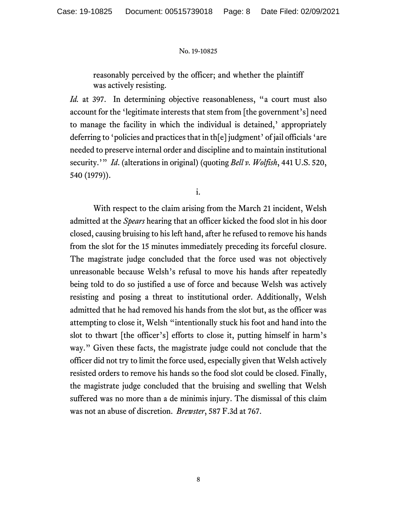reasonably perceived by the officer; and whether the plaintiff was actively resisting.

*Id.* at 397. In determining objective reasonableness, "a court must also account for the 'legitimate interests that stem from [the government's] need to manage the facility in which the individual is detained,' appropriately deferring to 'policies and practices that in th[e] judgment' of jail officials 'are needed to preserve internal order and discipline and to maintain institutional security.'" *Id*. (alterations in original) (quoting *Bell v. Wolfish*, 441 U.S. 520, 540 (1979)).

i.

With respect to the claim arising from the March 21 incident, Welsh admitted at the *Spears* hearing that an officer kicked the food slot in his door closed, causing bruising to his left hand, after he refused to remove his hands from the slot for the 15 minutes immediately preceding its forceful closure. The magistrate judge concluded that the force used was not objectively unreasonable because Welsh's refusal to move his hands after repeatedly being told to do so justified a use of force and because Welsh was actively resisting and posing a threat to institutional order. Additionally, Welsh admitted that he had removed his hands from the slot but, as the officer was attempting to close it, Welsh "intentionally stuck his foot and hand into the slot to thwart [the officer's] efforts to close it, putting himself in harm's way." Given these facts, the magistrate judge could not conclude that the officer did not try to limit the force used, especially given that Welsh actively resisted orders to remove his hands so the food slot could be closed. Finally, the magistrate judge concluded that the bruising and swelling that Welsh suffered was no more than a de minimis injury. The dismissal of this claim was not an abuse of discretion. *Brewster*, 587 F.3d at 767.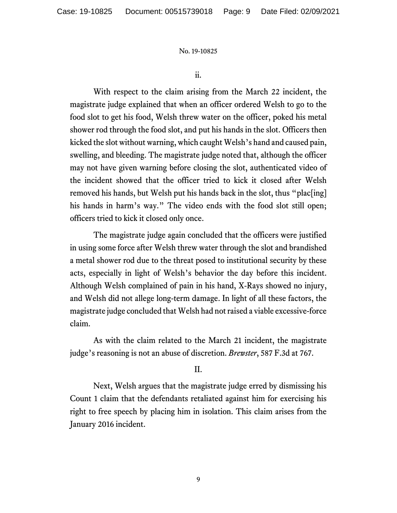ii.

With respect to the claim arising from the March 22 incident, the magistrate judge explained that when an officer ordered Welsh to go to the food slot to get his food, Welsh threw water on the officer, poked his metal shower rod through the food slot, and put his hands in the slot. Officers then kicked the slot without warning, which caught Welsh's hand and caused pain, swelling, and bleeding. The magistrate judge noted that, although the officer may not have given warning before closing the slot, authenticated video of the incident showed that the officer tried to kick it closed after Welsh removed his hands, but Welsh put his hands back in the slot, thus "plac[ing] his hands in harm's way." The video ends with the food slot still open; officers tried to kick it closed only once.

The magistrate judge again concluded that the officers were justified in using some force after Welsh threw water through the slot and brandished a metal shower rod due to the threat posed to institutional security by these acts, especially in light of Welsh's behavior the day before this incident. Although Welsh complained of pain in his hand, X-Rays showed no injury, and Welsh did not allege long-term damage. In light of all these factors, the magistrate judge concluded that Welsh had not raised a viable excessive-force claim.

As with the claim related to the March 21 incident, the magistrate judge's reasoning is not an abuse of discretion. *Brewster*, 587 F.3d at 767.

## II.

Next, Welsh argues that the magistrate judge erred by dismissing his Count 1 claim that the defendants retaliated against him for exercising his right to free speech by placing him in isolation. This claim arises from the January 2016 incident.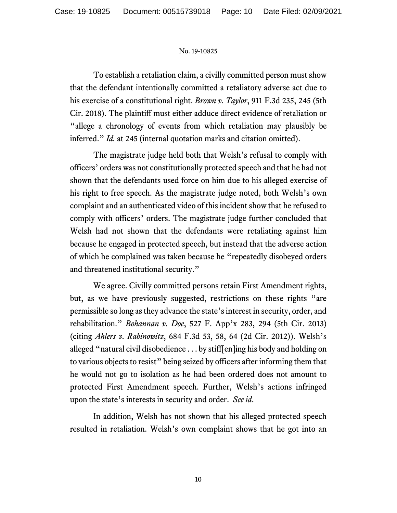To establish a retaliation claim, a civilly committed person must show that the defendant intentionally committed a retaliatory adverse act due to his exercise of a constitutional right. *Brown v. Taylor*, 911 F.3d 235, 245 (5th Cir. 2018). The plaintiff must either adduce direct evidence of retaliation or "allege a chronology of events from which retaliation may plausibly be inferred." *Id.* at 245 (internal quotation marks and citation omitted).

The magistrate judge held both that Welsh's refusal to comply with officers' orders was not constitutionally protected speech and that he had not shown that the defendants used force on him due to his alleged exercise of his right to free speech. As the magistrate judge noted, both Welsh's own complaint and an authenticated video of this incident show that he refused to comply with officers' orders. The magistrate judge further concluded that Welsh had not shown that the defendants were retaliating against him because he engaged in protected speech, but instead that the adverse action of which he complained was taken because he "repeatedly disobeyed orders and threatened institutional security."

We agree. Civilly committed persons retain First Amendment rights, but, as we have previously suggested, restrictions on these rights "are permissible so long as they advance the state's interest in security, order, and rehabilitation." *Bohannan v. Doe*, 527 F. App'x 283, 294 (5th Cir. 2013) (citing *Ahlers v. Rabinowitz*, 684 F.3d 53, 58, 64 (2d Cir. 2012)). Welsh's alleged "natural civil disobedience . . . by stiff[en]ing his body and holding on to various objects to resist" being seized by officers after informing them that he would not go to isolation as he had been ordered does not amount to protected First Amendment speech. Further, Welsh's actions infringed upon the state's interests in security and order. *See id*.

In addition, Welsh has not shown that his alleged protected speech resulted in retaliation. Welsh's own complaint shows that he got into an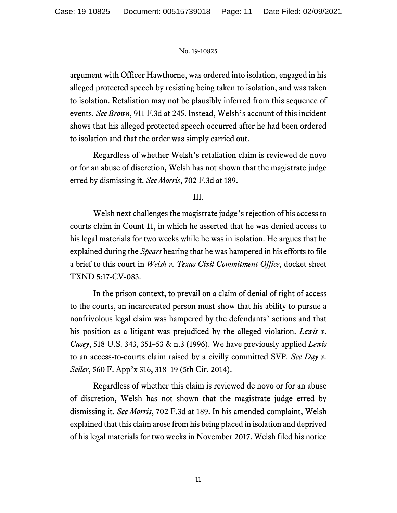argument with Officer Hawthorne, was ordered into isolation, engaged in his alleged protected speech by resisting being taken to isolation, and was taken to isolation. Retaliation may not be plausibly inferred from this sequence of events. *See Brown*, 911 F.3d at 245. Instead, Welsh's account of this incident shows that his alleged protected speech occurred after he had been ordered to isolation and that the order was simply carried out.

Regardless of whether Welsh's retaliation claim is reviewed de novo or for an abuse of discretion, Welsh has not shown that the magistrate judge erred by dismissing it. *See Morris*, 702 F.3d at 189.

# III.

Welsh next challenges the magistrate judge's rejection of his access to courts claim in Count 11, in which he asserted that he was denied access to his legal materials for two weeks while he was in isolation. He argues that he explained during the *Spears* hearing that he was hampered in his efforts to file a brief to this court in *Welsh v. Texas Civil Commitment Office*, docket sheet TXND 5:17-CV-083.

In the prison context, to prevail on a claim of denial of right of access to the courts, an incarcerated person must show that his ability to pursue a nonfrivolous legal claim was hampered by the defendants' actions and that his position as a litigant was prejudiced by the alleged violation. *Lewis v. Casey*, 518 U.S. 343, 351–53 & n.3 (1996). We have previously applied *Lewis*  to an access-to-courts claim raised by a civilly committed SVP. *See Day v. Seiler*, 560 F. App'x 316, 318–19 (5th Cir. 2014).

Regardless of whether this claim is reviewed de novo or for an abuse of discretion, Welsh has not shown that the magistrate judge erred by dismissing it. *See Morris*, 702 F.3d at 189. In his amended complaint, Welsh explained that this claim arose from his being placed in isolation and deprived of his legal materials for two weeks in November 2017. Welsh filed his notice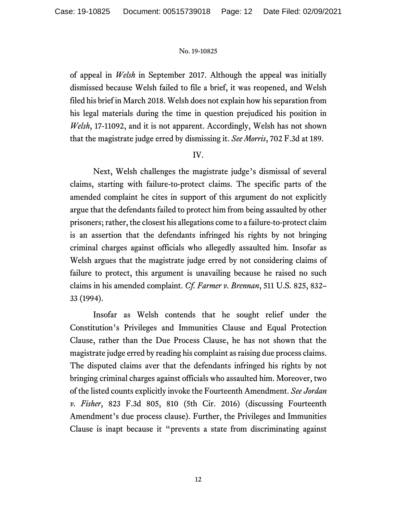of appeal in *Welsh* in September 2017. Although the appeal was initially dismissed because Welsh failed to file a brief, it was reopened, and Welsh filed his brief in March 2018. Welsh does not explain how his separation from his legal materials during the time in question prejudiced his position in *Welsh*, 17-11092, and it is not apparent. Accordingly, Welsh has not shown that the magistrate judge erred by dismissing it. *See Morris*, 702 F.3d at 189.

## IV.

Next, Welsh challenges the magistrate judge's dismissal of several claims, starting with failure-to-protect claims. The specific parts of the amended complaint he cites in support of this argument do not explicitly argue that the defendants failed to protect him from being assaulted by other prisoners; rather, the closest his allegations come to a failure-to-protect claim is an assertion that the defendants infringed his rights by not bringing criminal charges against officials who allegedly assaulted him. Insofar as Welsh argues that the magistrate judge erred by not considering claims of failure to protect, this argument is unavailing because he raised no such claims in his amended complaint. *Cf. Farmer v. Brennan*, 511 U.S. 825, 832– 33 (1994).

Insofar as Welsh contends that he sought relief under the Constitution's Privileges and Immunities Clause and Equal Protection Clause, rather than the Due Process Clause, he has not shown that the magistrate judge erred by reading his complaint as raising due process claims. The disputed claims aver that the defendants infringed his rights by not bringing criminal charges against officials who assaulted him. Moreover, two of the listed counts explicitly invoke the Fourteenth Amendment. *See Jordan v. Fisher*, 823 F.3d 805, 810 (5th Cir. 2016) (discussing Fourteenth Amendment's due process clause). Further, the Privileges and Immunities Clause is inapt because it "prevents a state from discriminating against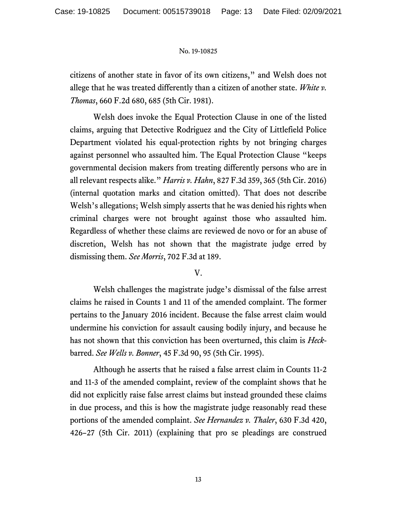citizens of another state in favor of its own citizens," and Welsh does not allege that he was treated differently than a citizen of another state. *White v. Thomas*, 660 F.2d 680, 685 (5th Cir. 1981).

Welsh does invoke the Equal Protection Clause in one of the listed claims, arguing that Detective Rodriguez and the City of Littlefield Police Department violated his equal-protection rights by not bringing charges against personnel who assaulted him. The Equal Protection Clause "keeps governmental decision makers from treating differently persons who are in all relevant respects alike." *Harris v. Hahn*, 827 F.3d 359, 365 (5th Cir. 2016) (internal quotation marks and citation omitted). That does not describe Welsh's allegations; Welsh simply asserts that he was denied his rights when criminal charges were not brought against those who assaulted him. Regardless of whether these claims are reviewed de novo or for an abuse of discretion, Welsh has not shown that the magistrate judge erred by dismissing them. *See Morris*, 702 F.3d at 189.

# V.

Welsh challenges the magistrate judge's dismissal of the false arrest claims he raised in Counts 1 and 11 of the amended complaint. The former pertains to the January 2016 incident. Because the false arrest claim would undermine his conviction for assault causing bodily injury, and because he has not shown that this conviction has been overturned, this claim is *Heck*barred. *See Wells v. Bonner*, 45 F.3d 90, 95 (5th Cir. 1995).

Although he asserts that he raised a false arrest claim in Counts 11-2 and 11-3 of the amended complaint, review of the complaint shows that he did not explicitly raise false arrest claims but instead grounded these claims in due process, and this is how the magistrate judge reasonably read these portions of the amended complaint. *See Hernandez v. Thaler*, 630 F.3d 420, 426–27 (5th Cir. 2011) (explaining that pro se pleadings are construed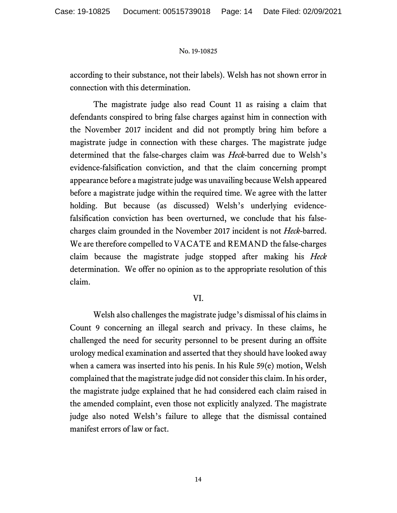according to their substance, not their labels). Welsh has not shown error in connection with this determination.

The magistrate judge also read Count 11 as raising a claim that defendants conspired to bring false charges against him in connection with the November 2017 incident and did not promptly bring him before a magistrate judge in connection with these charges. The magistrate judge determined that the false-charges claim was *Heck*-barred due to Welsh's evidence-falsification conviction, and that the claim concerning prompt appearance before a magistrate judge was unavailing because Welsh appeared before a magistrate judge within the required time. We agree with the latter holding. But because (as discussed) Welsh's underlying evidencefalsification conviction has been overturned, we conclude that his falsecharges claim grounded in the November 2017 incident is not *Heck*-barred. We are therefore compelled to VACATE and REMAND the false-charges claim because the magistrate judge stopped after making his *Heck*  determination. We offer no opinion as to the appropriate resolution of this claim.

## VI.

Welsh also challenges the magistrate judge's dismissal of his claims in Count 9 concerning an illegal search and privacy. In these claims, he challenged the need for security personnel to be present during an offsite urology medical examination and asserted that they should have looked away when a camera was inserted into his penis. In his Rule 59(e) motion, Welsh complained that the magistrate judge did not consider this claim. In his order, the magistrate judge explained that he had considered each claim raised in the amended complaint, even those not explicitly analyzed. The magistrate judge also noted Welsh's failure to allege that the dismissal contained manifest errors of law or fact.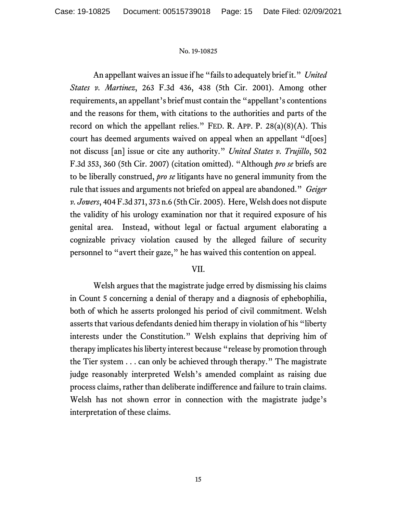An appellant waives an issue if he "fails to adequately brief it." *United States v. Martinez*, 263 F.3d 436, 438 (5th Cir. 2001). Among other requirements, an appellant's brief must contain the "appellant's contentions and the reasons for them, with citations to the authorities and parts of the record on which the appellant relies." FED. R. APP. P.  $28(a)(8)(A)$ . This court has deemed arguments waived on appeal when an appellant "d[oes] not discuss [an] issue or cite any authority." *United States v. Trujillo*, 502 F.3d 353, 360 (5th Cir. 2007) (citation omitted). "Although *pro se* briefs are to be liberally construed, *pro se* litigants have no general immunity from the rule that issues and arguments not briefed on appeal are abandoned." *Geiger v. Jowers*, 404 F.3d 371, 373 n.6 (5th Cir. 2005). Here, Welsh does not dispute the validity of his urology examination nor that it required exposure of his genital area. Instead, without legal or factual argument elaborating a cognizable privacy violation caused by the alleged failure of security personnel to "avert their gaze," he has waived this contention on appeal.

## VII.

Welsh argues that the magistrate judge erred by dismissing his claims in Count 5 concerning a denial of therapy and a diagnosis of ephebophilia, both of which he asserts prolonged his period of civil commitment. Welsh asserts that various defendants denied him therapy in violation of his "liberty interests under the Constitution." Welsh explains that depriving him of therapy implicates his liberty interest because "release by promotion through the Tier system . . . can only be achieved through therapy." The magistrate judge reasonably interpreted Welsh's amended complaint as raising due process claims, rather than deliberate indifference and failure to train claims. Welsh has not shown error in connection with the magistrate judge's interpretation of these claims.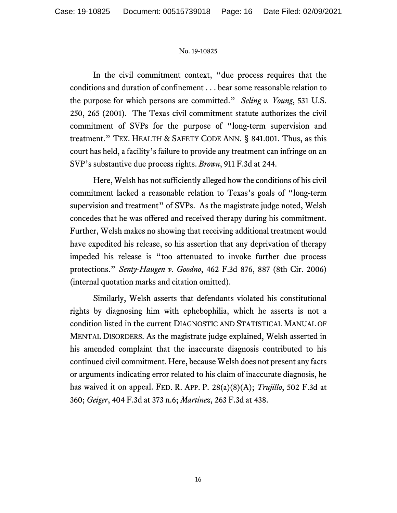In the civil commitment context, "due process requires that the conditions and duration of confinement . . . bear some reasonable relation to the purpose for which persons are committed." *Seling v. Young*, 531 U.S. 250, 265 (2001). The Texas civil commitment statute authorizes the civil commitment of SVPs for the purpose of "long-term supervision and treatment." TEX. HEALTH & SAFETY CODE ANN. § 841.001. Thus, as this court has held, a facility's failure to provide any treatment can infringe on an SVP's substantive due process rights. *Brown*, 911 F.3d at 244.

Here, Welsh has not sufficiently alleged how the conditions of his civil commitment lacked a reasonable relation to Texas's goals of "long-term supervision and treatment" of SVPs. As the magistrate judge noted, Welsh concedes that he was offered and received therapy during his commitment. Further, Welsh makes no showing that receiving additional treatment would have expedited his release, so his assertion that any deprivation of therapy impeded his release is "too attenuated to invoke further due process protections." *Senty-Haugen v. Goodno*, 462 F.3d 876, 887 (8th Cir. 2006) (internal quotation marks and citation omitted).

Similarly, Welsh asserts that defendants violated his constitutional rights by diagnosing him with ephebophilia, which he asserts is not a condition listed in the current DIAGNOSTIC AND STATISTICAL MANUAL OF MENTAL DISORDERS. As the magistrate judge explained, Welsh asserted in his amended complaint that the inaccurate diagnosis contributed to his continued civil commitment. Here, because Welsh does not present any facts or arguments indicating error related to his claim of inaccurate diagnosis, he has waived it on appeal. FED. R. APP. P. 28(a)(8)(A); *Trujillo*, 502 F.3d at 360; *Geiger*, 404 F.3d at 373 n.6; *Martinez*, 263 F.3d at 438.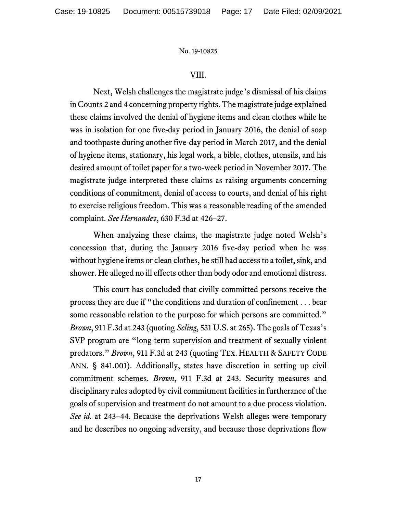## VIII.

Next, Welsh challenges the magistrate judge's dismissal of his claims in Counts 2 and 4 concerning property rights. The magistrate judge explained these claims involved the denial of hygiene items and clean clothes while he was in isolation for one five-day period in January 2016, the denial of soap and toothpaste during another five-day period in March 2017, and the denial of hygiene items, stationary, his legal work, a bible, clothes, utensils, and his desired amount of toilet paper for a two-week period in November 2017. The magistrate judge interpreted these claims as raising arguments concerning conditions of commitment, denial of access to courts, and denial of his right to exercise religious freedom. This was a reasonable reading of the amended complaint. *See Hernandez*, 630 F.3d at 426–27.

When analyzing these claims, the magistrate judge noted Welsh's concession that, during the January 2016 five-day period when he was without hygiene items or clean clothes, he still had access to a toilet, sink, and shower. He alleged no ill effects other than body odor and emotional distress.

This court has concluded that civilly committed persons receive the process they are due if "the conditions and duration of confinement . . . bear some reasonable relation to the purpose for which persons are committed." *Brown*, 911 F.3d at 243 (quoting *Seling*, 531 U.S. at 265). The goals of Texas's SVP program are "long-term supervision and treatment of sexually violent predators." *Brown*, 911 F.3d at 243 (quoting TEX. HEALTH & SAFETY CODE ANN. § 841.001). Additionally, states have discretion in setting up civil commitment schemes. *Brown*, 911 F.3d at 243. Security measures and disciplinary rules adopted by civil commitment facilities in furtherance of the goals of supervision and treatment do not amount to a due process violation. *See id.* at 243–44. Because the deprivations Welsh alleges were temporary and he describes no ongoing adversity, and because those deprivations flow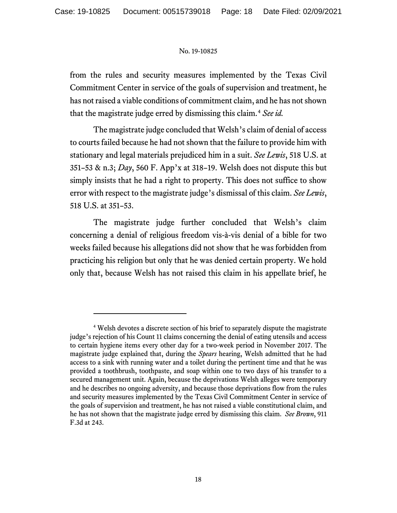from the rules and security measures implemented by the Texas Civil Commitment Center in service of the goals of supervision and treatment, he has not raised a viable conditions of commitment claim, and he has not shown that the magistrate judge erred by dismissing this claim.[4](#page-17-0) *See id.*

The magistrate judge concluded that Welsh's claim of denial of access to courts failed because he had not shown that the failure to provide him with stationary and legal materials prejudiced him in a suit. *See Lewis*, 518 U.S. at 351–53 & n.3; *Day*, 560 F. App'x at 318–19. Welsh does not dispute this but simply insists that he had a right to property. This does not suffice to show error with respect to the magistrate judge's dismissal of this claim. *See Lewis*, 518 U.S. at 351–53.

The magistrate judge further concluded that Welsh's claim concerning a denial of religious freedom vis-à-vis denial of a bible for two weeks failed because his allegations did not show that he was forbidden from practicing his religion but only that he was denied certain property. We hold only that, because Welsh has not raised this claim in his appellate brief, he

<span id="page-17-0"></span><sup>4</sup> Welsh devotes a discrete section of his brief to separately dispute the magistrate judge's rejection of his Count 11 claims concerning the denial of eating utensils and access to certain hygiene items every other day for a two-week period in November 2017. The magistrate judge explained that, during the *Spears* hearing, Welsh admitted that he had access to a sink with running water and a toilet during the pertinent time and that he was provided a toothbrush, toothpaste, and soap within one to two days of his transfer to a secured management unit. Again, because the deprivations Welsh alleges were temporary and he describes no ongoing adversity, and because those deprivations flow from the rules and security measures implemented by the Texas Civil Commitment Center in service of the goals of supervision and treatment, he has not raised a viable constitutional claim, and he has not shown that the magistrate judge erred by dismissing this claim. *See Brown*, 911 F.3d at 243.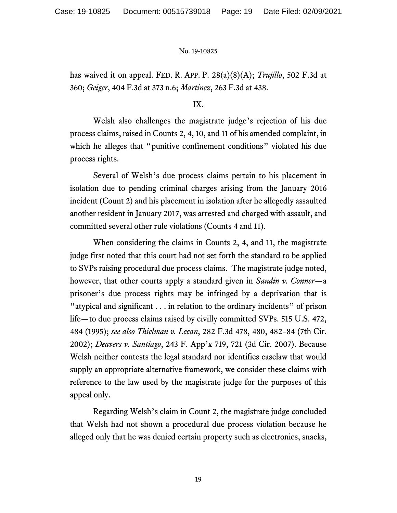has waived it on appeal. FED. R. APP. P. 28(a)(8)(A); *Trujillo*, 502 F.3d at 360; *Geiger*, 404 F.3d at 373 n.6; *Martinez*, 263 F.3d at 438.

## IX.

Welsh also challenges the magistrate judge's rejection of his due process claims, raised in Counts 2, 4, 10, and 11 of his amended complaint, in which he alleges that "punitive confinement conditions" violated his due process rights.

Several of Welsh's due process claims pertain to his placement in isolation due to pending criminal charges arising from the January 2016 incident (Count 2) and his placement in isolation after he allegedly assaulted another resident in January 2017, was arrested and charged with assault, and committed several other rule violations (Counts 4 and 11).

When considering the claims in Counts 2, 4, and 11, the magistrate judge first noted that this court had not set forth the standard to be applied to SVPs raising procedural due process claims. The magistrate judge noted, however, that other courts apply a standard given in *Sandin v. Conner*—a prisoner's due process rights may be infringed by a deprivation that is "atypical and significant . . . in relation to the ordinary incidents" of prison life—to due process claims raised by civilly committed SVPs. 515 U.S. 472, 484 (1995); *see also Thielman v. Leean*, 282 F.3d 478, 480, 482–84 (7th Cir. 2002); *Deavers v. Santiago*, 243 F. App'x 719, 721 (3d Cir. 2007). Because Welsh neither contests the legal standard nor identifies caselaw that would supply an appropriate alternative framework, we consider these claims with reference to the law used by the magistrate judge for the purposes of this appeal only.

Regarding Welsh's claim in Count 2, the magistrate judge concluded that Welsh had not shown a procedural due process violation because he alleged only that he was denied certain property such as electronics, snacks,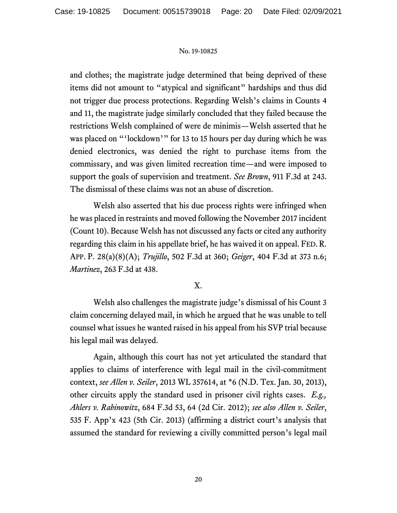and clothes; the magistrate judge determined that being deprived of these items did not amount to "atypical and significant" hardships and thus did not trigger due process protections. Regarding Welsh's claims in Counts 4 and 11, the magistrate judge similarly concluded that they failed because the restrictions Welsh complained of were de minimis—Welsh asserted that he was placed on "'lockdown'" for 13 to 15 hours per day during which he was denied electronics, was denied the right to purchase items from the commissary, and was given limited recreation time—and were imposed to support the goals of supervision and treatment. *See Brown*, 911 F.3d at 243. The dismissal of these claims was not an abuse of discretion.

Welsh also asserted that his due process rights were infringed when he was placed in restraints and moved following the November 2017 incident (Count 10). Because Welsh has not discussed any facts or cited any authority regarding this claim in his appellate brief, he has waived it on appeal. FED. R. APP. P. 28(a)(8)(A); *Trujillo*, 502 F.3d at 360; *Geiger*, 404 F.3d at 373 n.6; *Martinez*, 263 F.3d at 438.

## X.

Welsh also challenges the magistrate judge's dismissal of his Count 3 claim concerning delayed mail, in which he argued that he was unable to tell counsel what issues he wanted raised in his appeal from his SVP trial because his legal mail was delayed.

Again, although this court has not yet articulated the standard that applies to claims of interference with legal mail in the civil-commitment context, *see Allen v. Seiler*, 2013 WL 357614, at \*6 (N.D. Tex. Jan. 30, 2013), other circuits apply the standard used in prisoner civil rights cases. *E.g., Ahlers v. Rabinowitz*, 684 F.3d 53, 64 (2d Cir. 2012); *see also Allen v. Seiler*, 535 F. App'x 423 (5th Cir. 2013) (affirming a district court's analysis that assumed the standard for reviewing a civilly committed person's legal mail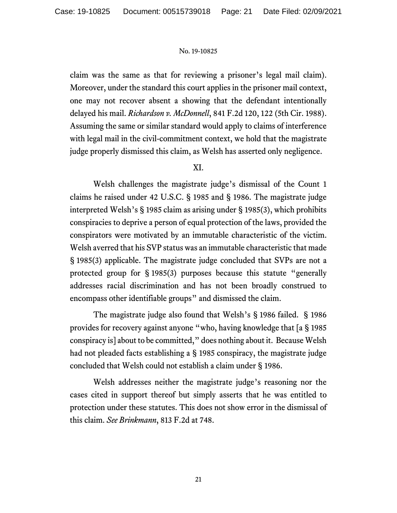claim was the same as that for reviewing a prisoner's legal mail claim). Moreover, under the standard this court applies in the prisoner mail context, one may not recover absent a showing that the defendant intentionally delayed his mail. *Richardson v. McDonnell*, 841 F.2d 120, 122 (5th Cir. 1988). Assuming the same or similar standard would apply to claims of interference with legal mail in the civil-commitment context, we hold that the magistrate judge properly dismissed this claim, as Welsh has asserted only negligence.

## XI.

Welsh challenges the magistrate judge's dismissal of the Count 1 claims he raised under 42 U.S.C. § 1985 and § 1986. The magistrate judge interpreted Welsh's § 1985 claim as arising under § 1985(3), which prohibits conspiracies to deprive a person of equal protection of the laws, provided the conspirators were motivated by an immutable characteristic of the victim. Welsh averred that his SVP status was an immutable characteristic that made § 1985(3) applicable. The magistrate judge concluded that SVPs are not a protected group for § 1985(3) purposes because this statute "generally addresses racial discrimination and has not been broadly construed to encompass other identifiable groups" and dismissed the claim.

The magistrate judge also found that Welsh's § 1986 failed. § 1986 provides for recovery against anyone "who, having knowledge that [a § 1985 conspiracy is] about to be committed," does nothing about it. Because Welsh had not pleaded facts establishing a § 1985 conspiracy, the magistrate judge concluded that Welsh could not establish a claim under § 1986.

Welsh addresses neither the magistrate judge's reasoning nor the cases cited in support thereof but simply asserts that he was entitled to protection under these statutes. This does not show error in the dismissal of this claim. *See Brinkmann*, 813 F.2d at 748.